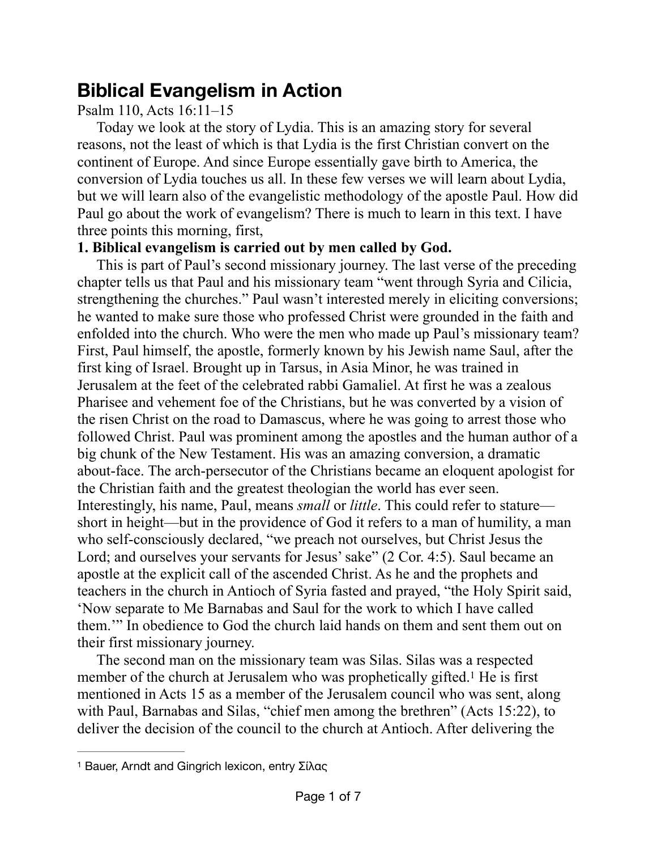# **Biblical Evangelism in Action**

## Psalm 110, Acts 16:11–15

Today we look at the story of Lydia. This is an amazing story for several reasons, not the least of which is that Lydia is the first Christian convert on the continent of Europe. And since Europe essentially gave birth to America, the conversion of Lydia touches us all. In these few verses we will learn about Lydia, but we will learn also of the evangelistic methodology of the apostle Paul. How did Paul go about the work of evangelism? There is much to learn in this text. I have three points this morning, first,

### **1. Biblical evangelism is carried out by men called by God.**

This is part of Paul's second missionary journey. The last verse of the preceding chapter tells us that Paul and his missionary team "went through Syria and Cilicia, strengthening the churches." Paul wasn't interested merely in eliciting conversions; he wanted to make sure those who professed Christ were grounded in the faith and enfolded into the church. Who were the men who made up Paul's missionary team? First, Paul himself, the apostle, formerly known by his Jewish name Saul, after the first king of Israel. Brought up in Tarsus, in Asia Minor, he was trained in Jerusalem at the feet of the celebrated rabbi Gamaliel. At first he was a zealous Pharisee and vehement foe of the Christians, but he was converted by a vision of the risen Christ on the road to Damascus, where he was going to arrest those who followed Christ. Paul was prominent among the apostles and the human author of a big chunk of the New Testament. His was an amazing conversion, a dramatic about-face. The arch-persecutor of the Christians became an eloquent apologist for the Christian faith and the greatest theologian the world has ever seen. Interestingly, his name, Paul, means *small* or *little*. This could refer to stature short in height—but in the providence of God it refers to a man of humility, a man who self-consciously declared, "we preach not ourselves, but Christ Jesus the Lord; and ourselves your servants for Jesus' sake" (2 Cor. 4:5). Saul became an apostle at the explicit call of the ascended Christ. As he and the prophets and teachers in the church in Antioch of Syria fasted and prayed, "the Holy Spirit said, 'Now separate to Me Barnabas and Saul for the work to which I have called them.'" In obedience to God the church laid hands on them and sent them out on their first missionary journey.

<span id="page-0-1"></span>The second man on the missionary team was Silas. Silas was a respected member of the church at Jerusalem who was prophetically gifted.<sup>[1](#page-0-0)</sup> He is first mentioned in Acts 15 as a member of the Jerusalem council who was sent, along with Paul, Barnabas and Silas, "chief men among the brethren" (Acts 15:22), to deliver the decision of the council to the church at Antioch. After delivering the

<span id="page-0-0"></span>[<sup>1</sup>](#page-0-1) Bauer, Arndt and Gingrich lexicon, entry Σίλας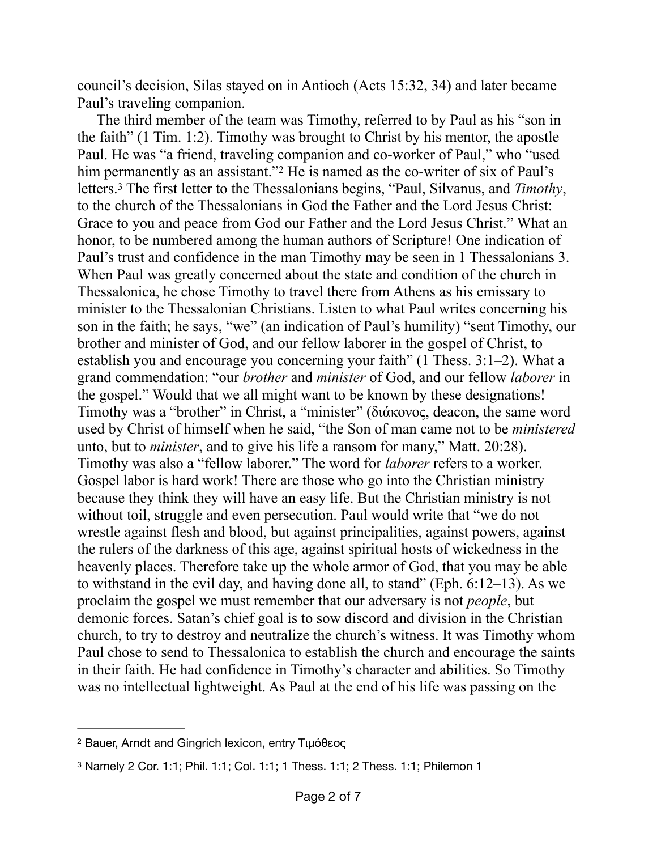council's decision, Silas stayed on in Antioch (Acts 15:32, 34) and later became Paul's traveling companion.

<span id="page-1-3"></span><span id="page-1-2"></span>The third member of the team was Timothy, referred to by Paul as his "son in the faith" (1 Tim. 1:2). Timothy was brought to Christ by his mentor, the apostle Paul. He was "a friend, traveling companion and co-worker of Paul," who "used him permanently as an assistant."<sup>[2](#page-1-0)</sup> He is named as the co-writer of six of Paul's letters.<sup>3</sup> The first letter to the Thessalonians begins, "Paul, Silvanus, and *Timothy*, to the church of the Thessalonians in God the Father and the Lord Jesus Christ: Grace to you and peace from God our Father and the Lord Jesus Christ." What an honor, to be numbered among the human authors of Scripture! One indication of Paul's trust and confidence in the man Timothy may be seen in 1 Thessalonians 3. When Paul was greatly concerned about the state and condition of the church in Thessalonica, he chose Timothy to travel there from Athens as his emissary to minister to the Thessalonian Christians. Listen to what Paul writes concerning his son in the faith; he says, "we" (an indication of Paul's humility) "sent Timothy, our brother and minister of God, and our fellow laborer in the gospel of Christ, to establish you and encourage you concerning your faith" (1 Thess. 3:1–2). What a grand commendation: "our *brother* and *minister* of God, and our fellow *laborer* in the gospel." Would that we all might want to be known by these designations! Timothy was a "brother" in Christ, a "minister" (διάκονος, deacon, the same word used by Christ of himself when he said, "the Son of man came not to be *ministered* unto, but to *minister*, and to give his life a ransom for many," Matt. 20:28). Timothy was also a "fellow laborer." The word for *laborer* refers to a worker. Gospel labor is hard work! There are those who go into the Christian ministry because they think they will have an easy life. But the Christian ministry is not without toil, struggle and even persecution. Paul would write that "we do not wrestle against flesh and blood, but against principalities, against powers, against the rulers of the darkness of this age, against spiritual hosts of wickedness in the heavenly places. Therefore take up the whole armor of God, that you may be able to withstand in the evil day, and having done all, to stand" (Eph. 6:12–13). As we proclaim the gospel we must remember that our adversary is not *people*, but demonic forces. Satan's chief goal is to sow discord and division in the Christian church, to try to destroy and neutralize the church's witness. It was Timothy whom Paul chose to send to Thessalonica to establish the church and encourage the saints in their faith. He had confidence in Timothy's character and abilities. So Timothy was no intellectual lightweight. As Paul at the end of his life was passing on the

<span id="page-1-0"></span>[<sup>2</sup>](#page-1-2) Bauer, Arndt and Gingrich lexicon, entry Τιμόθεος

<span id="page-1-1"></span>[<sup>3</sup>](#page-1-3) Namely 2 Cor. 1:1; Phil. 1:1; Col. 1:1; 1 Thess. 1:1; 2 Thess. 1:1; Philemon 1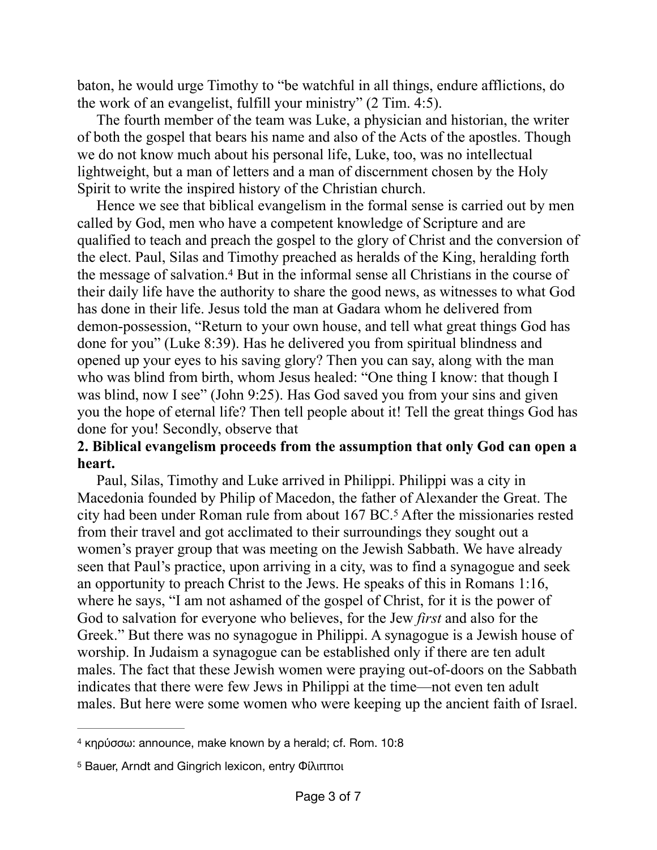baton, he would urge Timothy to "be watchful in all things, endure afflictions, do the work of an evangelist, fulfill your ministry" (2 Tim. 4:5).

The fourth member of the team was Luke, a physician and historian, the writer of both the gospel that bears his name and also of the Acts of the apostles. Though we do not know much about his personal life, Luke, too, was no intellectual lightweight, but a man of letters and a man of discernment chosen by the Holy Spirit to write the inspired history of the Christian church.

<span id="page-2-2"></span>Hence we see that biblical evangelism in the formal sense is carried out by men called by God, men who have a competent knowledge of Scripture and are qualified to teach and preach the gospel to the glory of Christ and the conversion of the elect. Paul, Silas and Timothy preached as heralds of the King, heralding forth the message of salvation.<sup>[4](#page-2-0)</sup> But in the informal sense all Christians in the course of their daily life have the authority to share the good news, as witnesses to what God has done in their life. Jesus told the man at Gadara whom he delivered from demon-possession, "Return to your own house, and tell what great things God has done for you" (Luke 8:39). Has he delivered you from spiritual blindness and opened up your eyes to his saving glory? Then you can say, along with the man who was blind from birth, whom Jesus healed: "One thing I know: that though I was blind, now I see" (John 9:25). Has God saved you from your sins and given you the hope of eternal life? Then tell people about it! Tell the great things God has done for you! Secondly, observe that

#### **2. Biblical evangelism proceeds from the assumption that only God can open a heart.**

<span id="page-2-3"></span>Paul, Silas, Timothy and Luke arrived in Philippi. Philippi was a city in Macedonia founded by Philip of Macedon, the father of Alexander the Great. The city had been under Roman rule from about 167 BC.<sup>[5](#page-2-1)</sup> After the missionaries rested from their travel and got acclimated to their surroundings they sought out a women's prayer group that was meeting on the Jewish Sabbath. We have already seen that Paul's practice, upon arriving in a city, was to find a synagogue and seek an opportunity to preach Christ to the Jews. He speaks of this in Romans 1:16, where he says, "I am not ashamed of the gospel of Christ, for it is the power of God to salvation for everyone who believes, for the Jew *first* and also for the Greek." But there was no synagogue in Philippi. A synagogue is a Jewish house of worship. In Judaism a synagogue can be established only if there are ten adult males. The fact that these Jewish women were praying out-of-doors on the Sabbath indicates that there were few Jews in Philippi at the time—not even ten adult males. But here were some women who were keeping up the ancient faith of Israel.

<span id="page-2-0"></span>[<sup>4</sup>](#page-2-2) κηρύσσω: announce, make known by a herald; cf. Rom. 10:8

<span id="page-2-1"></span><sup>&</sup>lt;sup>[5](#page-2-3)</sup> Bauer, Arndt and Gingrich lexicon, entry Φίλιπποι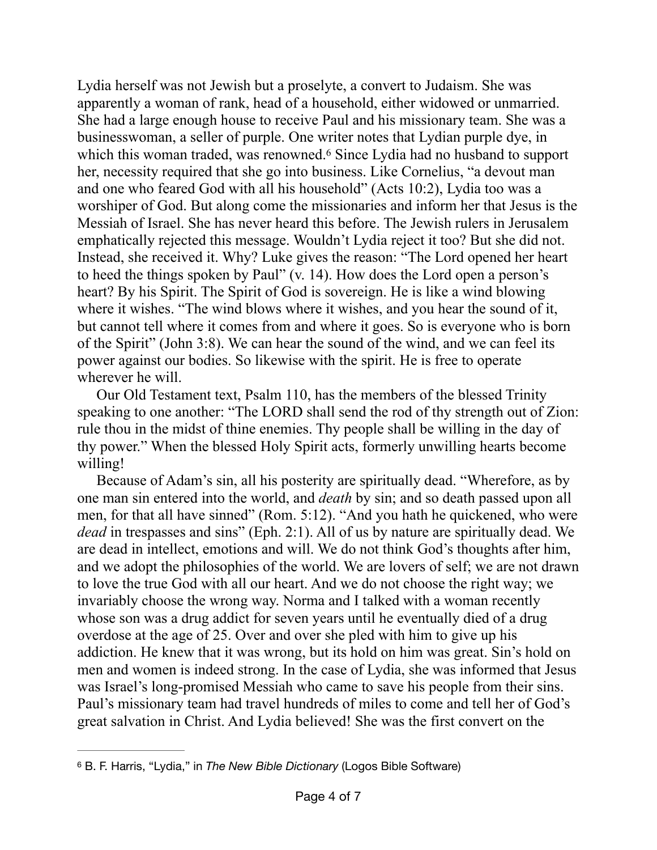<span id="page-3-1"></span>Lydia herself was not Jewish but a proselyte, a convert to Judaism. She was apparently a woman of rank, head of a household, either widowed or unmarried. She had a large enough house to receive Paul and his missionary team. She was a businesswoman, a seller of purple. One writer notes that Lydian purple dye, in which this woman traded, was renowned.<sup>[6](#page-3-0)</sup> Since Lydia had no husband to support her, necessity required that she go into business. Like Cornelius, "a devout man and one who feared God with all his household" (Acts 10:2), Lydia too was a worshiper of God. But along come the missionaries and inform her that Jesus is the Messiah of Israel. She has never heard this before. The Jewish rulers in Jerusalem emphatically rejected this message. Wouldn't Lydia reject it too? But she did not. Instead, she received it. Why? Luke gives the reason: "The Lord opened her heart to heed the things spoken by Paul" (v. 14). How does the Lord open a person's heart? By his Spirit. The Spirit of God is sovereign. He is like a wind blowing where it wishes. "The wind blows where it wishes, and you hear the sound of it, but cannot tell where it comes from and where it goes. So is everyone who is born of the Spirit" (John 3:8). We can hear the sound of the wind, and we can feel its power against our bodies. So likewise with the spirit. He is free to operate wherever he will.

Our Old Testament text, Psalm 110, has the members of the blessed Trinity speaking to one another: "The LORD shall send the rod of thy strength out of Zion: rule thou in the midst of thine enemies. Thy people shall be willing in the day of thy power." When the blessed Holy Spirit acts, formerly unwilling hearts become willing!

Because of Adam's sin, all his posterity are spiritually dead. "Wherefore, as by one man sin entered into the world, and *death* by sin; and so death passed upon all men, for that all have sinned" (Rom. 5:12). "And you hath he quickened, who were *dead* in trespasses and sins" (Eph. 2:1). All of us by nature are spiritually dead. We are dead in intellect, emotions and will. We do not think God's thoughts after him, and we adopt the philosophies of the world. We are lovers of self; we are not drawn to love the true God with all our heart. And we do not choose the right way; we invariably choose the wrong way. Norma and I talked with a woman recently whose son was a drug addict for seven years until he eventually died of a drug overdose at the age of 25. Over and over she pled with him to give up his addiction. He knew that it was wrong, but its hold on him was great. Sin's hold on men and women is indeed strong. In the case of Lydia, she was informed that Jesus was Israel's long-promised Messiah who came to save his people from their sins. Paul's missionary team had travel hundreds of miles to come and tell her of God's great salvation in Christ. And Lydia believed! She was the first convert on the

<span id="page-3-0"></span>B. F. Harris, "Lydia," in *The New Bible Dictionary* (Logos Bible Software) [6](#page-3-1)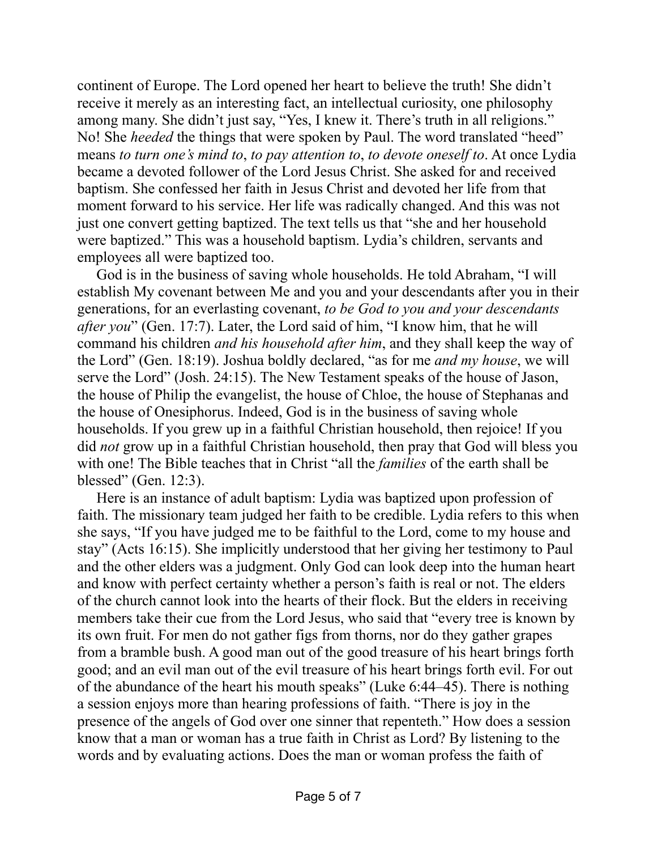continent of Europe. The Lord opened her heart to believe the truth! She didn't receive it merely as an interesting fact, an intellectual curiosity, one philosophy among many. She didn't just say, "Yes, I knew it. There's truth in all religions." No! She *heeded* the things that were spoken by Paul. The word translated "heed" means *to turn one's mind to*, *to pay attention to*, *to devote oneself to*. At once Lydia became a devoted follower of the Lord Jesus Christ. She asked for and received baptism. She confessed her faith in Jesus Christ and devoted her life from that moment forward to his service. Her life was radically changed. And this was not just one convert getting baptized. The text tells us that "she and her household were baptized." This was a household baptism. Lydia's children, servants and employees all were baptized too.

God is in the business of saving whole households. He told Abraham, "I will establish My covenant between Me and you and your descendants after you in their generations, for an everlasting covenant, *to be God to you and your descendants after you*" (Gen. 17:7). Later, the Lord said of him, "I know him, that he will command his children *and his household after him*, and they shall keep the way of the Lord" (Gen. 18:19). Joshua boldly declared, "as for me *and my house*, we will serve the Lord" (Josh. 24:15). The New Testament speaks of the house of Jason, the house of Philip the evangelist, the house of Chloe, the house of Stephanas and the house of Onesiphorus. Indeed, God is in the business of saving whole households. If you grew up in a faithful Christian household, then rejoice! If you did *not* grow up in a faithful Christian household, then pray that God will bless you with one! The Bible teaches that in Christ "all the *families* of the earth shall be blessed" (Gen. 12:3).

Here is an instance of adult baptism: Lydia was baptized upon profession of faith. The missionary team judged her faith to be credible. Lydia refers to this when she says, "If you have judged me to be faithful to the Lord, come to my house and stay" (Acts 16:15). She implicitly understood that her giving her testimony to Paul and the other elders was a judgment. Only God can look deep into the human heart and know with perfect certainty whether a person's faith is real or not. The elders of the church cannot look into the hearts of their flock. But the elders in receiving members take their cue from the Lord Jesus, who said that "every tree is known by its own fruit. For men do not gather figs from thorns, nor do they gather grapes from a bramble bush. A good man out of the good treasure of his heart brings forth good; and an evil man out of the evil treasure of his heart brings forth evil. For out of the abundance of the heart his mouth speaks" (Luke 6:44–45). There is nothing a session enjoys more than hearing professions of faith. "There is joy in the presence of the angels of God over one sinner that repenteth." How does a session know that a man or woman has a true faith in Christ as Lord? By listening to the words and by evaluating actions. Does the man or woman profess the faith of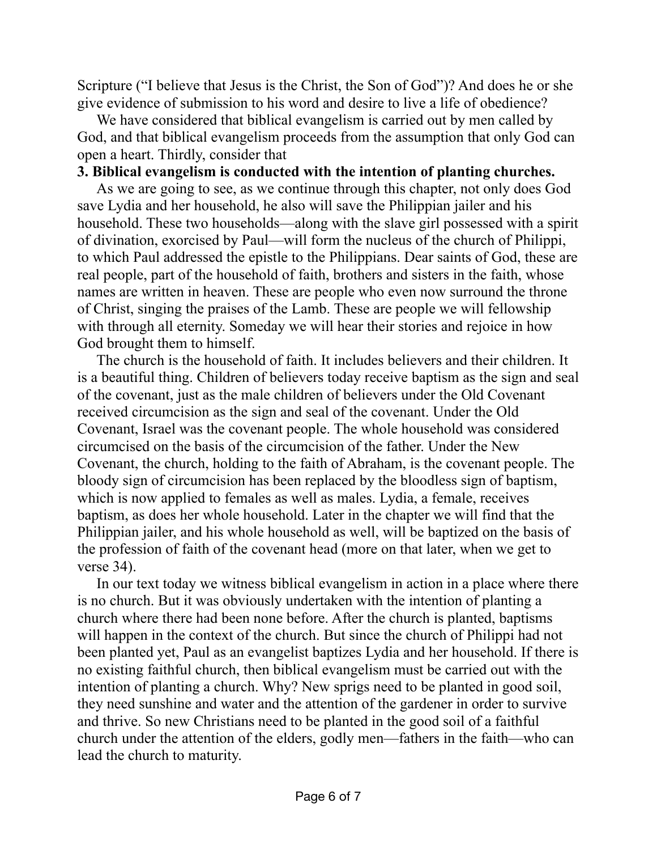Scripture ("I believe that Jesus is the Christ, the Son of God")? And does he or she give evidence of submission to his word and desire to live a life of obedience?

We have considered that biblical evangelism is carried out by men called by God, and that biblical evangelism proceeds from the assumption that only God can open a heart. Thirdly, consider that

#### **3. Biblical evangelism is conducted with the intention of planting churches.**

As we are going to see, as we continue through this chapter, not only does God save Lydia and her household, he also will save the Philippian jailer and his household. These two households—along with the slave girl possessed with a spirit of divination, exorcised by Paul—will form the nucleus of the church of Philippi, to which Paul addressed the epistle to the Philippians. Dear saints of God, these are real people, part of the household of faith, brothers and sisters in the faith, whose names are written in heaven. These are people who even now surround the throne of Christ, singing the praises of the Lamb. These are people we will fellowship with through all eternity. Someday we will hear their stories and rejoice in how God brought them to himself.

The church is the household of faith. It includes believers and their children. It is a beautiful thing. Children of believers today receive baptism as the sign and seal of the covenant, just as the male children of believers under the Old Covenant received circumcision as the sign and seal of the covenant. Under the Old Covenant, Israel was the covenant people. The whole household was considered circumcised on the basis of the circumcision of the father. Under the New Covenant, the church, holding to the faith of Abraham, is the covenant people. The bloody sign of circumcision has been replaced by the bloodless sign of baptism, which is now applied to females as well as males. Lydia, a female, receives baptism, as does her whole household. Later in the chapter we will find that the Philippian jailer, and his whole household as well, will be baptized on the basis of the profession of faith of the covenant head (more on that later, when we get to verse 34).

In our text today we witness biblical evangelism in action in a place where there is no church. But it was obviously undertaken with the intention of planting a church where there had been none before. After the church is planted, baptisms will happen in the context of the church. But since the church of Philippi had not been planted yet, Paul as an evangelist baptizes Lydia and her household. If there is no existing faithful church, then biblical evangelism must be carried out with the intention of planting a church. Why? New sprigs need to be planted in good soil, they need sunshine and water and the attention of the gardener in order to survive and thrive. So new Christians need to be planted in the good soil of a faithful church under the attention of the elders, godly men—fathers in the faith—who can lead the church to maturity.